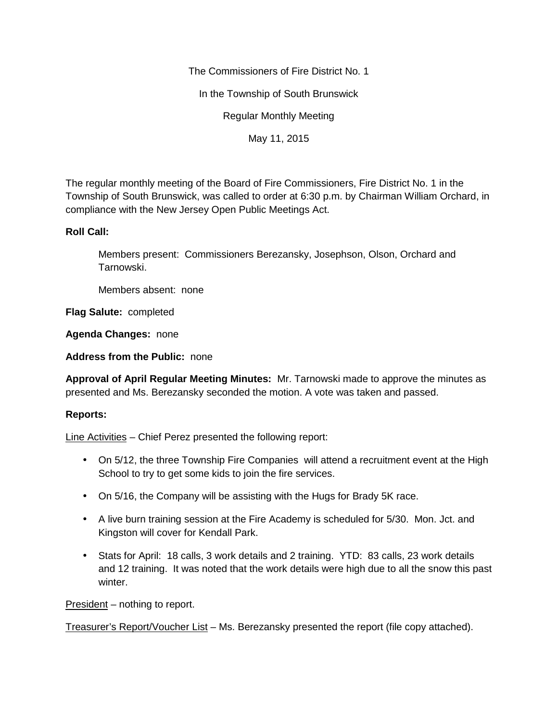The Commissioners of Fire District No. 1

In the Township of South Brunswick

Regular Monthly Meeting

May 11, 2015

The regular monthly meeting of the Board of Fire Commissioners, Fire District No. 1 in the Township of South Brunswick, was called to order at 6:30 p.m. by Chairman William Orchard, in compliance with the New Jersey Open Public Meetings Act.

## **Roll Call:**

Members present: Commissioners Berezansky, Josephson, Olson, Orchard and Tarnowski.

Members absent: none

**Flag Salute:** completed

**Agenda Changes:** none

**Address from the Public:** none

**Approval of April Regular Meeting Minutes:** Mr. Tarnowski made to approve the minutes as presented and Ms. Berezansky seconded the motion. A vote was taken and passed.

## **Reports:**

Line Activities – Chief Perez presented the following report:

- On 5/12, the three Township Fire Companies will attend a recruitment event at the High School to try to get some kids to join the fire services.
- On 5/16, the Company will be assisting with the Hugs for Brady 5K race.
- A live burn training session at the Fire Academy is scheduled for 5/30. Mon. Jct. and Kingston will cover for Kendall Park.
- Stats for April: 18 calls, 3 work details and 2 training. YTD: 83 calls, 23 work details and 12 training. It was noted that the work details were high due to all the snow this past winter.

President – nothing to report.

Treasurer's Report/Voucher List – Ms. Berezansky presented the report (file copy attached).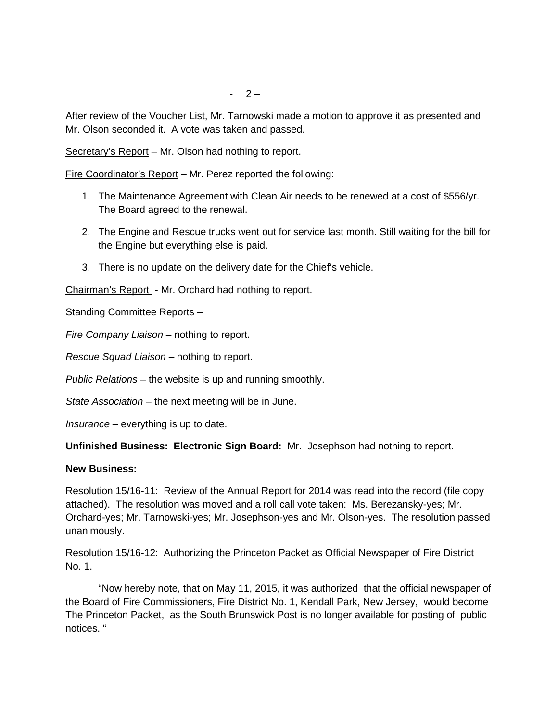After review of the Voucher List, Mr. Tarnowski made a motion to approve it as presented and Mr. Olson seconded it. A vote was taken and passed.

Secretary's Report – Mr. Olson had nothing to report.

Fire Coordinator's Report – Mr. Perez reported the following:

- 1. The Maintenance Agreement with Clean Air needs to be renewed at a cost of \$556/yr. The Board agreed to the renewal.
- 2. The Engine and Rescue trucks went out for service last month. Still waiting for the bill for the Engine but everything else is paid.
- 3. There is no update on the delivery date for the Chief's vehicle.

Chairman's Report - Mr. Orchard had nothing to report.

Standing Committee Reports –

*Fire Company Liaison –* nothing to report.

*Rescue Squad Liaison –* nothing to report.

*Public Relations –* the website is up and running smoothly.

*State Association –* the next meeting will be in June.

*Insurance –* everything is up to date.

**Unfinished Business: Electronic Sign Board:** Mr. Josephson had nothing to report.

## **New Business:**

Resolution 15/16-11: Review of the Annual Report for 2014 was read into the record (file copy attached). The resolution was moved and a roll call vote taken: Ms. Berezansky-yes; Mr. Orchard-yes; Mr. Tarnowski-yes; Mr. Josephson-yes and Mr. Olson-yes. The resolution passed unanimously.

Resolution 15/16-12: Authorizing the Princeton Packet as Official Newspaper of Fire District No. 1.

"Now hereby note, that on May 11, 2015, it was authorized that the official newspaper of the Board of Fire Commissioners, Fire District No. 1, Kendall Park, New Jersey, would become The Princeton Packet, as the South Brunswick Post is no longer available for posting of public notices. "